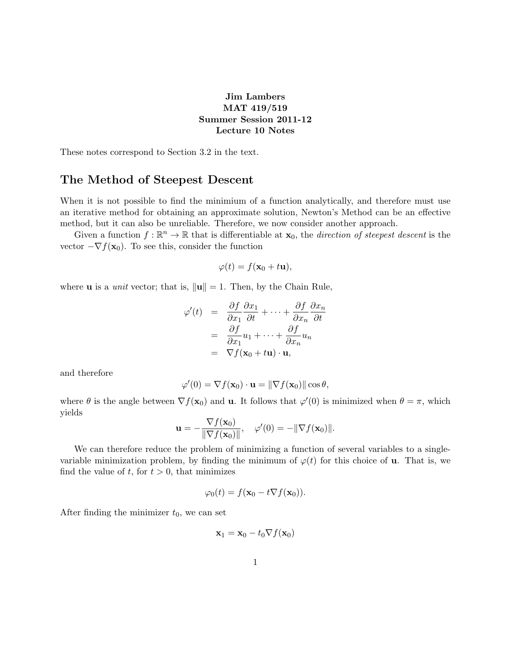## Jim Lambers MAT 419/519 Summer Session 2011-12 Lecture 10 Notes

These notes correspond to Section 3.2 in the text.

## The Method of Steepest Descent

When it is not possible to find the minimium of a function analytically, and therefore must use an iterative method for obtaining an approximate solution, Newton's Method can be an effective method, but it can also be unreliable. Therefore, we now consider another approach.

Given a function  $f : \mathbb{R}^n \to \mathbb{R}$  that is differentiable at  $\mathbf{x}_0$ , the *direction of steepest descent* is the vector  $-\nabla f(\mathbf{x}_0)$ . To see this, consider the function

$$
\varphi(t) = f(\mathbf{x}_0 + t\mathbf{u}),
$$

where **u** is a *unit* vector; that is,  $\|\mathbf{u}\| = 1$ . Then, by the Chain Rule,

$$
\varphi'(t) = \frac{\partial f}{\partial x_1} \frac{\partial x_1}{\partial t} + \dots + \frac{\partial f}{\partial x_n} \frac{\partial x_n}{\partial t}
$$

$$
= \frac{\partial f}{\partial x_1} u_1 + \dots + \frac{\partial f}{\partial x_n} u_n
$$

$$
= \nabla f(\mathbf{x}_0 + t\mathbf{u}) \cdot \mathbf{u},
$$

and therefore

$$
\varphi'(0) = \nabla f(\mathbf{x}_0) \cdot \mathbf{u} = \|\nabla f(\mathbf{x}_0)\| \cos \theta,
$$

where  $\theta$  is the angle between  $\nabla f(\mathbf{x}_0)$  and **u**. It follows that  $\varphi'(0)$  is minimized when  $\theta = \pi$ , which yields

$$
\mathbf{u} = -\frac{\nabla f(\mathbf{x}_0)}{\|\nabla f(\mathbf{x}_0)\|}, \quad \varphi'(0) = -\|\nabla f(\mathbf{x}_0)\|.
$$

We can therefore reduce the problem of minimizing a function of several variables to a singlevariable minimization problem, by finding the minimum of  $\varphi(t)$  for this choice of **u**. That is, we find the value of  $t$ , for  $t > 0$ , that minimizes

$$
\varphi_0(t) = f(\mathbf{x}_0 - t \nabla f(\mathbf{x}_0)).
$$

After finding the minimizer  $t_0$ , we can set

$$
\mathbf{x}_1 = \mathbf{x}_0 - t_0 \nabla f(\mathbf{x}_0)
$$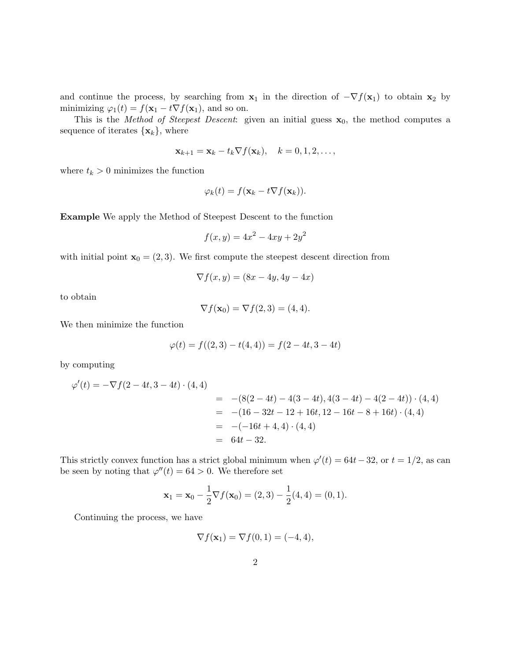and continue the process, by searching from  $x_1$  in the direction of  $-\nabla f(x_1)$  to obtain  $x_2$  by minimizing  $\varphi_1(t) = f(\mathbf{x}_1 - t \nabla f(\mathbf{x}_1))$ , and so on.

This is the Method of Steepest Descent: given an initial guess  $x_0$ , the method computes a sequence of iterates  $\{\mathbf x_k\}$ , where

$$
\mathbf{x}_{k+1} = \mathbf{x}_k - t_k \nabla f(\mathbf{x}_k), \quad k = 0, 1, 2, \dots,
$$

where  $t_k > 0$  minimizes the function

$$
\varphi_k(t) = f(\mathbf{x}_k - t \nabla f(\mathbf{x}_k)).
$$

Example We apply the Method of Steepest Descent to the function

$$
f(x, y) = 4x^2 - 4xy + 2y^2
$$

with initial point  $\mathbf{x}_0 = (2, 3)$ . We first compute the steepest descent direction from

$$
\nabla f(x, y) = (8x - 4y, 4y - 4x)
$$

to obtain

$$
\nabla f(\mathbf{x}_0) = \nabla f(2,3) = (4,4).
$$

We then minimize the function

$$
\varphi(t) = f((2,3) - t(4,4)) = f(2 - 4t, 3 - 4t)
$$

by computing

$$
\varphi'(t) = -\nabla f(2 - 4t, 3 - 4t) \cdot (4, 4)
$$
  
= -(8(2 - 4t) - 4(3 - 4t), 4(3 - 4t) - 4(2 - 4t)) \cdot (4, 4)  
= -(16 - 32t - 12 + 16t, 12 - 16t - 8 + 16t) \cdot (4, 4)  
= -(-16t + 4, 4) \cdot (4, 4)  
= 64t - 32.

This strictly convex function has a strict global minimum when  $\varphi'(t) = 64t - 32$ , or  $t = 1/2$ , as can be seen by noting that  $\varphi''(t) = 64 > 0$ . We therefore set

$$
\mathbf{x}_1 = \mathbf{x}_0 - \frac{1}{2} \nabla f(\mathbf{x}_0) = (2,3) - \frac{1}{2}(4,4) = (0,1).
$$

Continuing the process, we have

$$
\nabla f(\mathbf{x}_1) = \nabla f(0, 1) = (-4, 4),
$$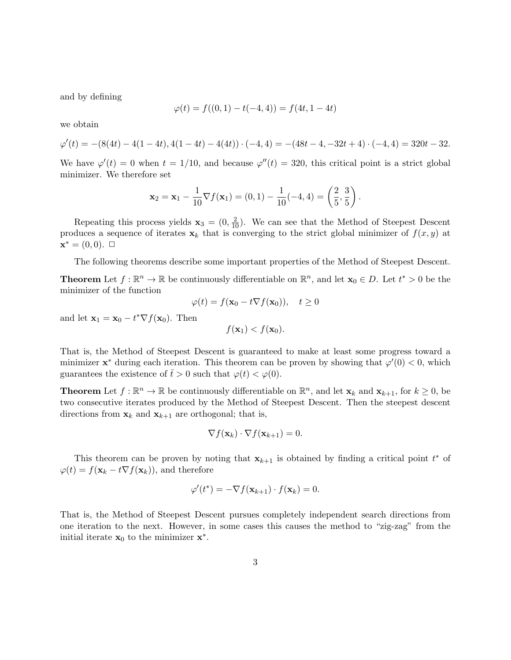and by defining

$$
\varphi(t) = f((0,1) - t(-4,4)) = f(4t, 1 - 4t)
$$

we obtain

$$
\varphi'(t) = -(8(4t) - 4(1 - 4t), 4(1 - 4t) - 4(4t)) \cdot (-4, 4) = -(48t - 4, -32t + 4) \cdot (-4, 4) = 320t - 32.
$$

We have  $\varphi'(t) = 0$  when  $t = 1/10$ , and because  $\varphi''(t) = 320$ , this critical point is a strict global minimizer. We therefore set

$$
\mathbf{x}_2 = \mathbf{x}_1 - \frac{1}{10} \nabla f(\mathbf{x}_1) = (0, 1) - \frac{1}{10}(-4, 4) = \left(\frac{2}{5}, \frac{3}{5}\right).
$$

Repeating this process yields  $\mathbf{x}_3 = (0, \frac{2}{10})$ . We can see that the Method of Steepest Descent produces a sequence of iterates  $x_k$  that is converging to the strict global minimizer of  $f(x, y)$  at  $\mathbf{x}^* = (0,0). \; \square$ 

The following theorems describe some important properties of the Method of Steepest Descent.

**Theorem** Let  $f : \mathbb{R}^n \to \mathbb{R}$  be continuously differentiable on  $\mathbb{R}^n$ , and let  $\mathbf{x}_0 \in D$ . Let  $t^* > 0$  be the minimizer of the function

$$
\varphi(t) = f(\mathbf{x}_0 - t \nabla f(\mathbf{x}_0)), \quad t \ge 0
$$

and let  $\mathbf{x}_1 = \mathbf{x}_0 - t^* \nabla f(\mathbf{x}_0)$ . Then

$$
f(\mathbf{x}_1) < f(\mathbf{x}_0).
$$

That is, the Method of Steepest Descent is guaranteed to make at least some progress toward a minimizer  $\mathbf{x}^*$  during each iteration. This theorem can be proven by showing that  $\varphi'(0) < 0$ , which guarantees the existence of  $\bar{t} > 0$  such that  $\varphi(t) < \varphi(0)$ .

**Theorem** Let  $f : \mathbb{R}^n \to \mathbb{R}$  be continuously differentiable on  $\mathbb{R}^n$ , and let  $\mathbf{x}_k$  and  $\mathbf{x}_{k+1}$ , for  $k \geq 0$ , be two consecutive iterates produced by the Method of Steepest Descent. Then the steepest descent directions from  $\mathbf{x}_k$  and  $\mathbf{x}_{k+1}$  are orthogonal; that is,

$$
\nabla f(\mathbf{x}_k) \cdot \nabla f(\mathbf{x}_{k+1}) = 0.
$$

This theorem can be proven by noting that  $\mathbf{x}_{k+1}$  is obtained by finding a critical point  $t^*$  of  $\varphi(t) = f(\mathbf{x}_k - t \nabla f(\mathbf{x}_k))$ , and therefore

$$
\varphi'(t^*) = -\nabla f(\mathbf{x}_{k+1}) \cdot f(\mathbf{x}_k) = 0.
$$

That is, the Method of Steepest Descent pursues completely independent search directions from one iteration to the next. However, in some cases this causes the method to "zig-zag" from the initial iterate  $\mathbf{x}_0$  to the minimizer  $\mathbf{x}^*$ .